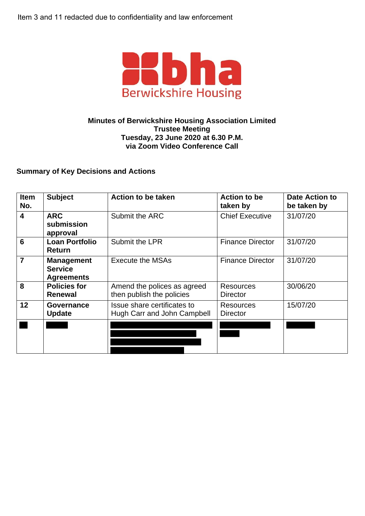

## **Minutes of Berwickshire Housing Association Limited Trustee Meeting Tuesday, 23 June 2020 at 6.30 P.M. via Zoom Video Conference Call**

## **Summary of Key Decisions and Actions**

| <b>Item</b><br>No.      | <b>Subject</b>                                           | <b>Action to be taken</b>                                  | <b>Action to be</b><br>taken by     | <b>Date Action to</b><br>be taken by |
|-------------------------|----------------------------------------------------------|------------------------------------------------------------|-------------------------------------|--------------------------------------|
| $\overline{\mathbf{4}}$ | <b>ARC</b><br>submission<br>approval                     | Submit the ARC                                             | <b>Chief Executive</b>              | 31/07/20                             |
| $6\phantom{1}6$         | <b>Loan Portfolio</b><br><b>Return</b>                   | Submit the LPR                                             | <b>Finance Director</b>             | 31/07/20                             |
| $\overline{7}$          | <b>Management</b><br><b>Service</b><br><b>Agreements</b> | Execute the MSAs                                           | <b>Finance Director</b>             | 31/07/20                             |
| 8                       | <b>Policies for</b><br><b>Renewal</b>                    | Amend the polices as agreed<br>then publish the policies   | <b>Resources</b><br><b>Director</b> | 30/06/20                             |
| 12                      | Governance<br><b>Update</b>                              | Issue share certificates to<br>Hugh Carr and John Campbell | <b>Resources</b><br><b>Director</b> | 15/07/20                             |
|                         |                                                          |                                                            |                                     |                                      |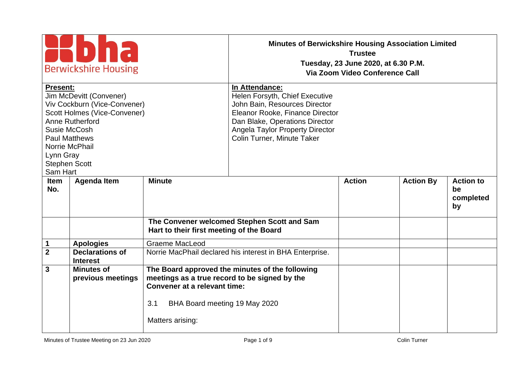| <b>Berwickshire Housing</b>                                                                                                                                                                                                              |                                           |                                                                                                                                           | <b>Minutes of Berwickshire Housing Association Limited</b><br><b>Trustee</b><br>Tuesday, 23 June 2020, at 6.30 P.M.<br>Via Zoom Video Conference Call                                                                          |               |                  |                                           |
|------------------------------------------------------------------------------------------------------------------------------------------------------------------------------------------------------------------------------------------|-------------------------------------------|-------------------------------------------------------------------------------------------------------------------------------------------|--------------------------------------------------------------------------------------------------------------------------------------------------------------------------------------------------------------------------------|---------------|------------------|-------------------------------------------|
| <b>Present:</b><br>Jim McDevitt (Convener)<br>Viv Cockburn (Vice-Convener)<br>Scott Holmes (Vice-Convener)<br>Anne Rutherford<br>Susie McCosh<br><b>Paul Matthews</b><br>Norrie McPhail<br>Lynn Gray<br><b>Stephen Scott</b><br>Sam Hart |                                           |                                                                                                                                           | In Attendance:<br>Helen Forsyth, Chief Executive<br>John Bain, Resources Director<br>Eleanor Rooke, Finance Director<br>Dan Blake, Operations Director<br><b>Angela Taylor Property Director</b><br>Colin Turner, Minute Taker |               |                  |                                           |
| <b>Item</b><br>No.                                                                                                                                                                                                                       | <b>Agenda Item</b>                        | <b>Minute</b>                                                                                                                             |                                                                                                                                                                                                                                | <b>Action</b> | <b>Action By</b> | <b>Action to</b><br>be<br>completed<br>by |
|                                                                                                                                                                                                                                          |                                           | Hart to their first meeting of the Board                                                                                                  | The Convener welcomed Stephen Scott and Sam                                                                                                                                                                                    |               |                  |                                           |
| 1                                                                                                                                                                                                                                        | <b>Apologies</b>                          | <b>Graeme MacLeod</b>                                                                                                                     |                                                                                                                                                                                                                                |               |                  |                                           |
| $\overline{2}$                                                                                                                                                                                                                           | <b>Declarations of</b><br><b>Interest</b> |                                                                                                                                           | Norrie MacPhail declared his interest in BHA Enterprise.                                                                                                                                                                       |               |                  |                                           |
| 3                                                                                                                                                                                                                                        | <b>Minutes of</b><br>previous meetings    | meetings as a true record to be signed by the<br>Convener at a relevant time:<br>3.1<br>BHA Board meeting 19 May 2020<br>Matters arising: | The Board approved the minutes of the following                                                                                                                                                                                |               |                  |                                           |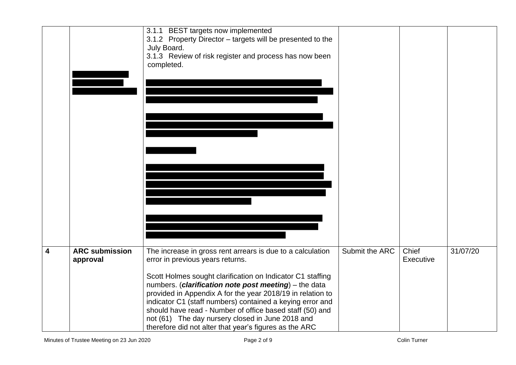|                         |                                   | 3.1.1 BEST targets now implemented<br>3.1.2 Property Director - targets will be presented to the<br>July Board.<br>3.1.3 Review of risk register and process has now been<br>completed.                                                                                                                                                                                                                                                                                                                                    |                |                    |          |
|-------------------------|-----------------------------------|----------------------------------------------------------------------------------------------------------------------------------------------------------------------------------------------------------------------------------------------------------------------------------------------------------------------------------------------------------------------------------------------------------------------------------------------------------------------------------------------------------------------------|----------------|--------------------|----------|
| $\overline{\mathbf{4}}$ | <b>ARC submission</b><br>approval | The increase in gross rent arrears is due to a calculation<br>error in previous years returns.<br>Scott Holmes sought clarification on Indicator C1 staffing<br>numbers. (clarification note post meeting) - the data<br>provided in Appendix A for the year 2018/19 in relation to<br>indicator C1 (staff numbers) contained a keying error and<br>should have read - Number of office based staff (50) and<br>not (61) The day nursery closed in June 2018 and<br>therefore did not alter that year's figures as the ARC | Submit the ARC | Chief<br>Executive | 31/07/20 |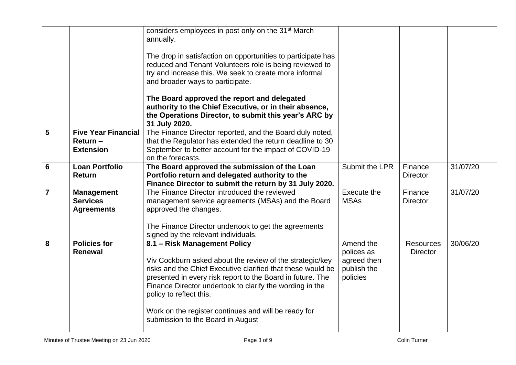|                 |                             | considers employees in post only on the 31 <sup>st</sup> March<br>annually.<br>The drop in satisfaction on opportunities to participate has<br>reduced and Tenant Volunteers role is being reviewed to<br>try and increase this. We seek to create more informal<br>and broader ways to participate.<br>The Board approved the report and delegated<br>authority to the Chief Executive, or in their absence,<br>the Operations Director, to submit this year's ARC by<br>31 July 2020. |                                                      |                  |          |
|-----------------|-----------------------------|-----------------------------------------------------------------------------------------------------------------------------------------------------------------------------------------------------------------------------------------------------------------------------------------------------------------------------------------------------------------------------------------------------------------------------------------------------------------------------------------|------------------------------------------------------|------------------|----------|
| $5\phantom{1}$  | <b>Five Year Financial</b>  | The Finance Director reported, and the Board duly noted,                                                                                                                                                                                                                                                                                                                                                                                                                                |                                                      |                  |          |
|                 | Return-<br><b>Extension</b> | that the Regulator has extended the return deadline to 30<br>September to better account for the impact of COVID-19                                                                                                                                                                                                                                                                                                                                                                     |                                                      |                  |          |
|                 |                             | on the forecasts.                                                                                                                                                                                                                                                                                                                                                                                                                                                                       |                                                      |                  |          |
| $6\phantom{1}6$ | <b>Loan Portfolio</b>       | The Board approved the submission of the Loan                                                                                                                                                                                                                                                                                                                                                                                                                                           | Submit the LPR                                       | Finance          | 31/07/20 |
|                 | <b>Return</b>               | Portfolio return and delegated authority to the<br>Finance Director to submit the return by 31 July 2020.                                                                                                                                                                                                                                                                                                                                                                               |                                                      | <b>Director</b>  |          |
| $\overline{7}$  | <b>Management</b>           | The Finance Director introduced the reviewed                                                                                                                                                                                                                                                                                                                                                                                                                                            | Execute the                                          | Finance          | 31/07/20 |
|                 | <b>Services</b>             | management service agreements (MSAs) and the Board                                                                                                                                                                                                                                                                                                                                                                                                                                      | <b>MSAs</b>                                          | <b>Director</b>  |          |
|                 | <b>Agreements</b>           | approved the changes.                                                                                                                                                                                                                                                                                                                                                                                                                                                                   |                                                      |                  |          |
|                 |                             | The Finance Director undertook to get the agreements<br>signed by the relevant individuals.                                                                                                                                                                                                                                                                                                                                                                                             |                                                      |                  |          |
| 8               | <b>Policies for</b>         | 8.1 - Risk Management Policy                                                                                                                                                                                                                                                                                                                                                                                                                                                            | Amend the                                            | <b>Resources</b> | 30/06/20 |
|                 | <b>Renewal</b>              | Viv Cockburn asked about the review of the strategic/key<br>risks and the Chief Executive clarified that these would be<br>presented in every risk report to the Board in future. The<br>Finance Director undertook to clarify the wording in the<br>policy to reflect this.<br>Work on the register continues and will be ready for<br>submission to the Board in August                                                                                                               | polices as<br>agreed then<br>publish the<br>policies | <b>Director</b>  |          |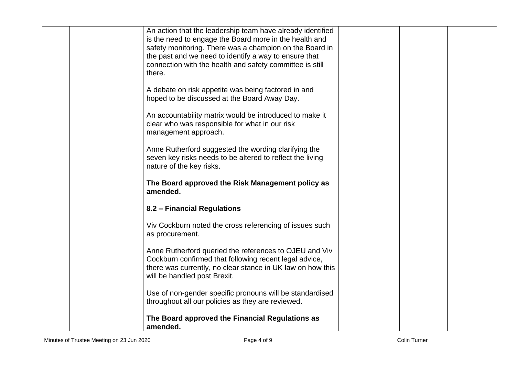| Use of non-gender specific pronouns will be standardised<br>throughout all our policies as they are reviewed.                                                                                                                                                                                                  |  |
|----------------------------------------------------------------------------------------------------------------------------------------------------------------------------------------------------------------------------------------------------------------------------------------------------------------|--|
| Anne Rutherford queried the references to OJEU and Viv<br>Cockburn confirmed that following recent legal advice,<br>there was currently, no clear stance in UK law on how this<br>will be handled post Brexit.                                                                                                 |  |
| Viv Cockburn noted the cross referencing of issues such<br>as procurement.                                                                                                                                                                                                                                     |  |
| 8.2 - Financial Regulations                                                                                                                                                                                                                                                                                    |  |
| The Board approved the Risk Management policy as<br>amended.                                                                                                                                                                                                                                                   |  |
| Anne Rutherford suggested the wording clarifying the<br>seven key risks needs to be altered to reflect the living<br>nature of the key risks.                                                                                                                                                                  |  |
| An accountability matrix would be introduced to make it<br>clear who was responsible for what in our risk<br>management approach.                                                                                                                                                                              |  |
| A debate on risk appetite was being factored in and<br>hoped to be discussed at the Board Away Day.                                                                                                                                                                                                            |  |
| An action that the leadership team have already identified<br>is the need to engage the Board more in the health and<br>safety monitoring. There was a champion on the Board in<br>the past and we need to identify a way to ensure that<br>connection with the health and safety committee is still<br>there. |  |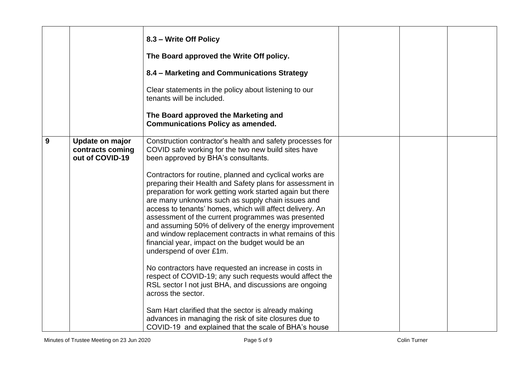|   |                                                        | 8.3 - Write Off Policy<br>The Board approved the Write Off policy.<br>8.4 - Marketing and Communications Strategy<br>Clear statements in the policy about listening to our<br>tenants will be included.<br>The Board approved the Marketing and<br><b>Communications Policy as amended.</b>                                                                                                                                                                                                                                                                                                                                                                                                                                                                                                                                                                                                                                                                                                                                                                                                           |  |  |
|---|--------------------------------------------------------|-------------------------------------------------------------------------------------------------------------------------------------------------------------------------------------------------------------------------------------------------------------------------------------------------------------------------------------------------------------------------------------------------------------------------------------------------------------------------------------------------------------------------------------------------------------------------------------------------------------------------------------------------------------------------------------------------------------------------------------------------------------------------------------------------------------------------------------------------------------------------------------------------------------------------------------------------------------------------------------------------------------------------------------------------------------------------------------------------------|--|--|
| 9 | Update on major<br>contracts coming<br>out of COVID-19 | Construction contractor's health and safety processes for<br>COVID safe working for the two new build sites have<br>been approved by BHA's consultants.<br>Contractors for routine, planned and cyclical works are<br>preparing their Health and Safety plans for assessment in<br>preparation for work getting work started again but there<br>are many unknowns such as supply chain issues and<br>access to tenants' homes, which will affect delivery. An<br>assessment of the current programmes was presented<br>and assuming 50% of delivery of the energy improvement<br>and window replacement contracts in what remains of this<br>financial year, impact on the budget would be an<br>underspend of over £1m.<br>No contractors have requested an increase in costs in<br>respect of COVID-19; any such requests would affect the<br>RSL sector I not just BHA, and discussions are ongoing<br>across the sector.<br>Sam Hart clarified that the sector is already making<br>advances in managing the risk of site closures due to<br>COVID-19 and explained that the scale of BHA's house |  |  |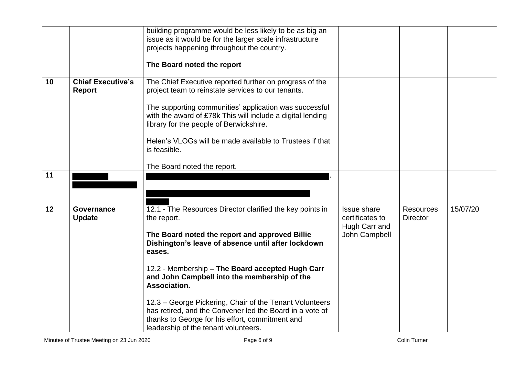|                 |                                           | building programme would be less likely to be as big an<br>issue as it would be for the larger scale infrastructure<br>projects happening throughout the country.<br>The Board noted the report                                                                                                                                                                                                                                       |                                                                         |                                     |          |
|-----------------|-------------------------------------------|---------------------------------------------------------------------------------------------------------------------------------------------------------------------------------------------------------------------------------------------------------------------------------------------------------------------------------------------------------------------------------------------------------------------------------------|-------------------------------------------------------------------------|-------------------------------------|----------|
| 10 <sup>1</sup> | <b>Chief Executive's</b><br><b>Report</b> | The Chief Executive reported further on progress of the<br>project team to reinstate services to our tenants.<br>The supporting communities' application was successful<br>with the award of £78k This will include a digital lending<br>library for the people of Berwickshire.<br>Helen's VLOGs will be made available to Trustees if that<br>is feasible.<br>The Board noted the report.                                           |                                                                         |                                     |          |
| 11              |                                           |                                                                                                                                                                                                                                                                                                                                                                                                                                       |                                                                         |                                     |          |
| 12              | <b>Governance</b><br><b>Update</b>        | 12.1 - The Resources Director clarified the key points in<br>the report.<br>The Board noted the report and approved Billie<br>Dishington's leave of absence until after lockdown<br>eases.<br>12.2 - Membership - The Board accepted Hugh Carr<br>and John Campbell into the membership of the<br>Association.<br>12.3 – George Pickering, Chair of the Tenant Volunteers<br>has retired, and the Convener led the Board in a vote of | <b>Issue share</b><br>certificates to<br>Hugh Carr and<br>John Campbell | <b>Resources</b><br><b>Director</b> | 15/07/20 |
|                 |                                           | thanks to George for his effort, commitment and<br>leadership of the tenant volunteers.                                                                                                                                                                                                                                                                                                                                               |                                                                         |                                     |          |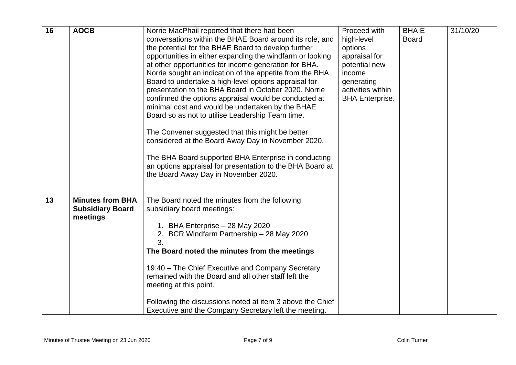| 16 | <b>AOCB</b>                                                    | Norrie MacPhail reported that there had been<br>conversations within the BHAE Board around its role, and<br>the potential for the BHAE Board to develop further<br>opportunities in either expanding the windfarm or looking<br>at other opportunities for income generation for BHA.<br>Norrie sought an indication of the appetite from the BHA<br>Board to undertake a high-level options appraisal for<br>presentation to the BHA Board in October 2020. Norrie<br>confirmed the options appraisal would be conducted at<br>minimal cost and would be undertaken by the BHAE<br>Board so as not to utilise Leadership Team time.<br>The Convener suggested that this might be better<br>considered at the Board Away Day in November 2020.<br>The BHA Board supported BHA Enterprise in conducting<br>an options appraisal for presentation to the BHA Board at<br>the Board Away Day in November 2020. | Proceed with<br>high-level<br>options<br>appraisal for<br>potential new<br>income<br>generating<br>activities within<br><b>BHA Enterprise.</b> | <b>BHAE</b><br><b>Board</b> | 31/10/20 |
|----|----------------------------------------------------------------|-------------------------------------------------------------------------------------------------------------------------------------------------------------------------------------------------------------------------------------------------------------------------------------------------------------------------------------------------------------------------------------------------------------------------------------------------------------------------------------------------------------------------------------------------------------------------------------------------------------------------------------------------------------------------------------------------------------------------------------------------------------------------------------------------------------------------------------------------------------------------------------------------------------|------------------------------------------------------------------------------------------------------------------------------------------------|-----------------------------|----------|
| 13 | <b>Minutes from BHA</b><br><b>Subsidiary Board</b><br>meetings | The Board noted the minutes from the following<br>subsidiary board meetings:<br>1. BHA Enterprise - 28 May 2020<br>2. BCR Windfarm Partnership - 28 May 2020<br>3.<br>The Board noted the minutes from the meetings<br>19:40 - The Chief Executive and Company Secretary<br>remained with the Board and all other staff left the<br>meeting at this point.<br>Following the discussions noted at item 3 above the Chief<br>Executive and the Company Secretary left the meeting.                                                                                                                                                                                                                                                                                                                                                                                                                            |                                                                                                                                                |                             |          |